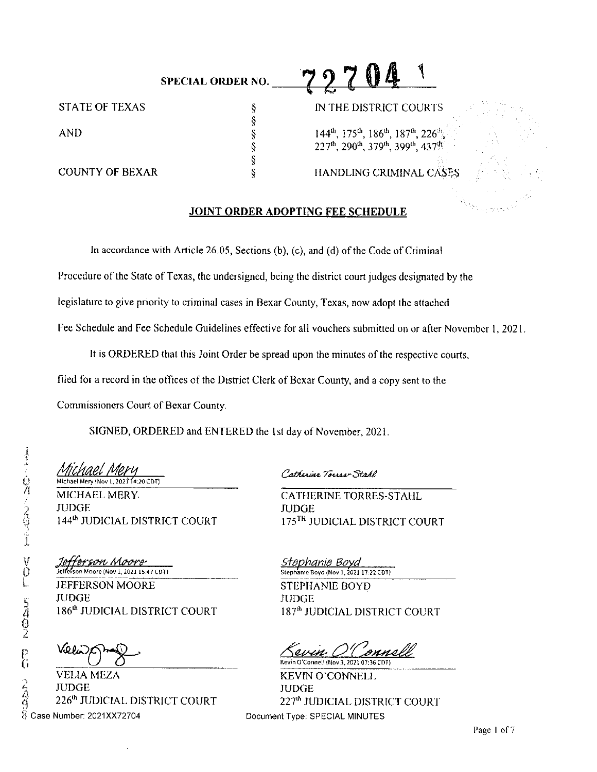|                | <b>SPECIAL ORDER NO.</b> | स्त                                               |
|----------------|--------------------------|---------------------------------------------------|
| STATE OF TEXAS |                          | IN THE DISTRICT COURTS                            |
|                |                          |                                                   |
| AND            |                          | $144th$ , $175th$ , $186th$ , $187th$ , $226th$ , |
|                |                          | 227th, 290th, 379th, 399th, 437th                 |

§

## COUNTY OF BEXAR S<br>
S
S
S
S
S
BEXAR
S
S
S
S
BEXAR
S
HANDLING CRIMINAL CASES

### **JOINT ORDER ADOPTING FEE SCHEDULE**

In accordance with Article 26.05, Sections (b), (c), and (d) of the Code of Criminal

Procedure of the State of Texas, the undersigned, being the district court judges designated by the

legislature to give priority lo criminal cases in Rexar County, Texas, now adopt the attached

Fee Schedule and fee Schedule Guidelines effective for all vouchers submitted on or after November I, 2021.

It is ORDERED that this Joint Order be spread upon the minutes of the respective courts.

filed for a record in the offices of the District Clerk of Bexar County, and a copy sent to the

Commissioners Court of Bexar County.

SIGNED, ORDERED and ENTERED the Isl day of November. 2021.

Michael Mery (Nov 1, 2021 14:20 CDT)

MICHAEL MERY, THE CATHERINE TORRES-STAHL JlJDGE JUDGE

V Jefferson Moore<br>U Jeffelson Moore (Nov 1, 2021 15:47 COT)<br>L JEFFERSON MOORE JEFFERSON MOORE JUDGE<br>186<sup>th</sup> JUDICIAL DISTRICT COURT

Vo p

VELIA MEZA  $\frac{2}{9}$  JUDGE 226<sup>th</sup> JUDICIAL DISTRICT COURT  $\widetilde{\%}$  Case Number: 2021XX72704

Catherine Torres Stake

144<sup>th</sup> JUDICIAL DISTRICT COURT 175<sup>TH</sup> JUDICIAL DISTRICT COURT

Steph<u>anie Boya</u> Stephanie Boyd {Nov 1, 202117:22 CDT) STEPHANIE BOYD JUDGE 187<sup>th</sup> JUDICIAL DISTRICT COURT

<u>Kevin O'Connell</u>

KEVIN O'CONNELL **JUDGE** 227<sup>th</sup> JUDICIAL DISTRICT COURT Document Type: SPECIAL MINUTES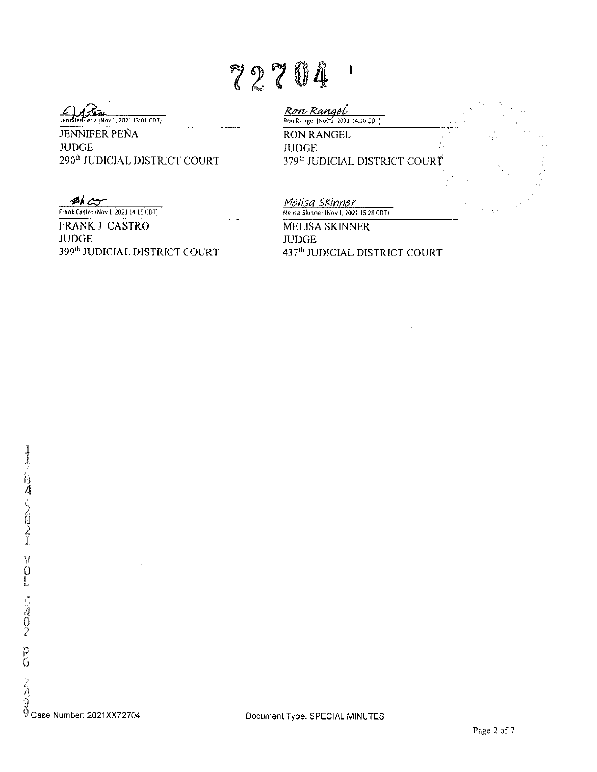# 72704

**Committed Pena (Nov 1, 2021 13:01 CDT)** 

JENNIFER PENA **JUDGE** 290"' JUDICIAL DISTRJCT COURT

Ron Rangel **Ron Rangel (Nov 1, 2021 14:20 CDT)** RON RANGEL JUDGE 379"' JUDICIAL DISTRICT COURT

**EX COVERENT Frank Castro (Nov 1, 2021 14:15 CDT)** 

FRANK J. CASTRO **JUDGE** 399"' JUDICIAi. DISTRICT COURT fvlelisq SfinJ1,.,,tJ"!.,r-,,-cc=,,.-- **Me1,sa Skinner (Nov I, 202J 15:28CDT)** 

MELISA SKINNER **JUDGE** 437th JUDJCIAL DISTRICT COURT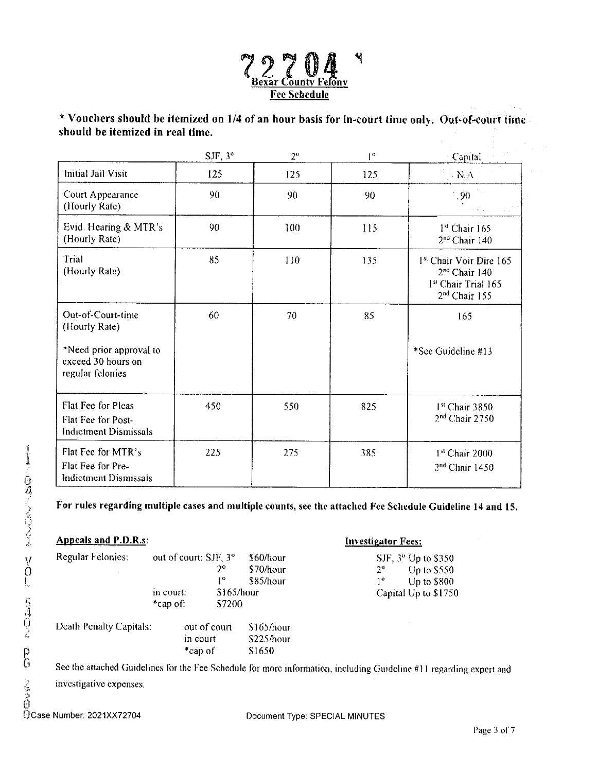

\* **Vouchers should be itemized on 1/4 of an hour basis for in-court time only. Out•of~ourt tirnc should be itemized in real time.** 

|                                                                          | $SJF$ , $3^{\circ}$ | $2^{\circ}$ | $1^{\circ}$ | Capital                                                                                                   |
|--------------------------------------------------------------------------|---------------------|-------------|-------------|-----------------------------------------------------------------------------------------------------------|
| Initial Jail Visit                                                       | 125                 | 125         | 125         | $N\Lambda$                                                                                                |
| Court Appearance<br>(Hourly Rate)                                        | 90                  | 90          | 90          | $-90$                                                                                                     |
| Evid. Hearing & MTR's<br>(Hourly Rate)                                   | 90                  | 100         | 115         | 1st Chair 165<br>2 <sup>nd</sup> Chair 140                                                                |
| Trial<br>(Hourly Rate)                                                   | 85                  | 110         | 135         | <sup>1st</sup> Chair Voir Dire 165<br>$2nd$ Chair 140<br>1st Chair Trial 165<br>2 <sup>nd</sup> Chair 155 |
| Out-of-Court-time<br>(Hourly Rate)                                       | 60                  | 70          | 85          | 165                                                                                                       |
| *Need prior approval to<br>exceed 30 hours on<br>regular felonies        |                     |             |             | *See Guideline #13                                                                                        |
| Flat Fee for Pleas<br>Flat Fee for Post-<br><b>Indictment Dismissals</b> | 450                 | 550         | 825         | $1st$ Chair 3850<br>$2nd$ Chair 2750                                                                      |
| Flat Fee for MTR's<br>Flat Fee for Pre-<br><b>Indictment Dismissals</b>  | 225                 | 275         | 385         | 1st Chair 2000<br>$2nd$ Chair 1450                                                                        |

**For rules regarding multiple cases and multiple counts, see the attached Fee Schedule Guideline 14 and 15.** 

| Ĩ             | <b>Appeals and P.D.R.s.</b> | <b>Investigator Fees:</b> |            |                            |             |                                 |
|---------------|-----------------------------|---------------------------|------------|----------------------------|-------------|---------------------------------|
|               | Regular Felonies:           | out of court: SJF, 3°     |            | \$60/hour                  |             | SJF, 3 <sup>o</sup> Up to \$350 |
| $\frac{1}{3}$ |                             |                           | 2°         | \$70/hour                  | $2^{\circ}$ | Up to $$550$                    |
| Ι.,           |                             |                           | 10         | \$85/hour                  | 10          | Up to \$800                     |
|               |                             | in court:                 | \$165/hour |                            |             | Capital Up to \$1750            |
|               |                             | *cap of.                  | \$7200     |                            |             |                                 |
| にえのえ          | Death Penalty Capitals:     | out of court<br>in court  |            | $$165/h$ our<br>\$225/hour |             |                                 |
| D             |                             | *cap of                   |            | \$1650                     |             |                                 |

GEESTRIGHT<br>
Frame of S1650<br>
G See the attached Guidelines for the Fee Schedule for more information, including Guideline #11 regarding expert and

investigative expenses.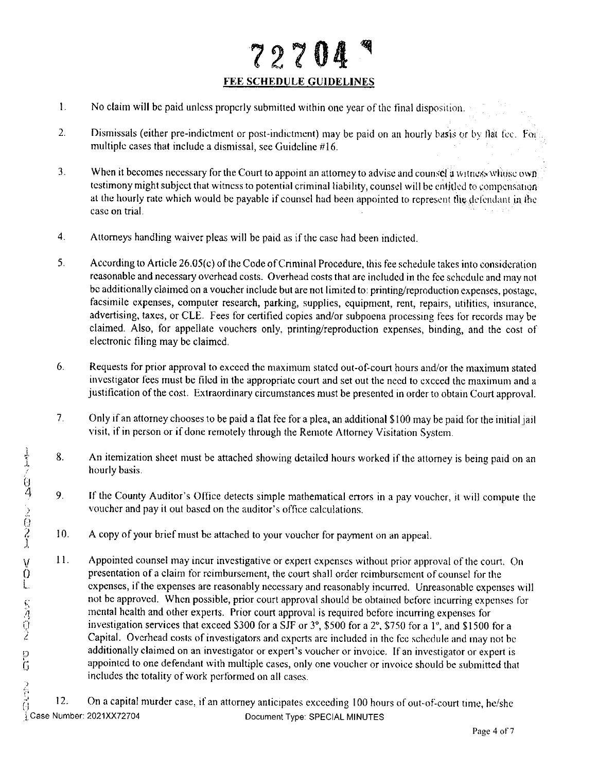## **?2704 FEE SCHEDULE GUIDELINES**

- I. No claim will be paid unless properly submitted within one year of the final disposition.
- 2. Dismissals (either pre-indictment or post-indictment) may be paid on an hourly basis or by flat fee. For multiple cases that include a dismissal, see Guideline #16.
- 3. When it becomes necessary for the Court to appoint an attorney to advise and counsel a witness whose own testimony might subject that witness to potential criminal liability, counsel will be cntitled to compensation at the hourly rate which would be payable if counsel had been appointed to represent the defendant in the case on trial.
- 4. Attorneys handling waiver pleas will be paid as if the case had been indicted.
- 5. According to Article 26.0S(c) of the Code ofCnminal Procedure, this fee schedule takes into consideration reasonable and necessary overhead costs. Overhead costs that arc included in the fee schedule and may not be additionally claimed on a voucher include but are not limited to: printing/reproduction expenses, postage, facsimile expenses, computer research, parking, supplies, equipment, rent, repairs, utilities, insurance, advertising, taxes, or CLE. Fees for certified copies and/or subpoena processing fees for records may be claimed. Also, for appellate vouchers only, printing/reproduction expenses, binding, and the cost of electronic filing may be claimed.
- 6. Requests for prior approval to exceed the maximum stated out-of-court hours and/or the maximum stated investigator fees must be filed in the appropriate court and set out the need to exceed the maximum and a justification of the cost. Extraordinary circumstances must be presented in order to obtain Court approval.
- 7. Only if an attorney chooses to be paid a flat fee for a plea, an additional \$I00 may be paid for the initial jail visit, if in person or if done remotely through the Remote Attorney Visitation System.
- 8. An itemization sheet must be attached showing detailed hours worked if the attorney is being paid on an hourly basis.
- 9. If the County Auditor's Office detects simple mathematical errors in a pay voucher, it will compute the voucher and pay ii out based on the auditor's office calculations.
- 10. A copy of your brief must be attached lo your voucher for payment on an appeal.
- V 11. Appointed counsel may incur investigative or expert expenses without prior approval counsel in the county of the County Auditor's Office detects simple mathematical errors in a pay voucher, it will compute the court 0 presentation of a claim for reimbursement, the court shall order reimbursement of counsel for the expenses, if the expenses are reasonably necessary and reasonably incurred. Unreasonable expenses will not be approved. When possible, prior court approval should be obtained before incurring expenses for mental health and other experts. Prior court approval is required before incurring expenses for **0** investigation services that exceed S300 for a SJF or 3°, \$500 for a 2°. \$750 for a I", and \$1500 for a Capital. Overhead costs of investigators and experts are included in the fee schedule and may not be additionally claimed on an investigator or expert's voucher or invoice. If an investigator or expert is appointed to one defendant with multiple cases, only one voucher or invoice should be submitted that includes the totality of work performed on all cases.

12. On a capital murder case, if an attorney anticipates exceeding 100 hours of out-of-court time, he/she ( i case Number: 2021XX72704 **i** Case Number: 2021XX72704 **i** Document Type: SPECIAL MINUTES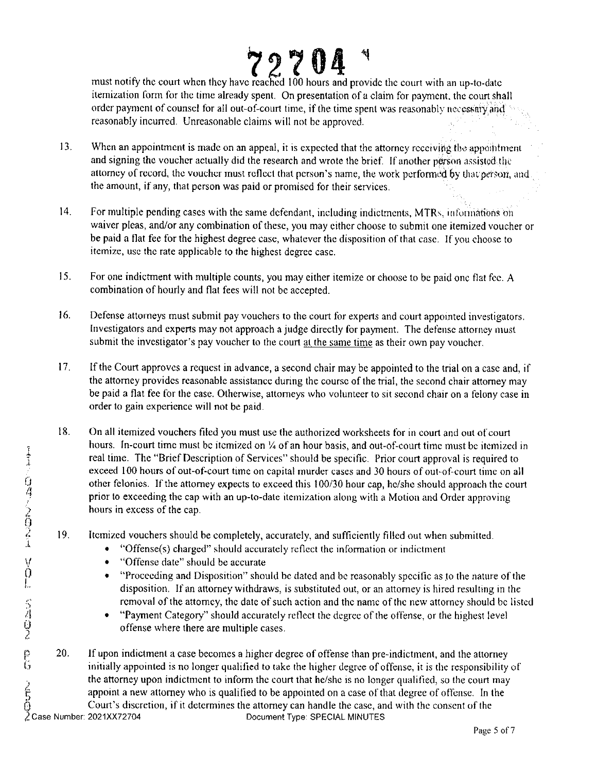**72704 1**  must notify the court when they have reached 100 hours and provide the court with an up-to-date itemization form for the time already spent. On presentation of a claim for payment. the court shall order payment of counsel for all out-of-court time, if the time spent was reasonably necessary and reasonably incurred. Unreasonable claims will not be approved,

- 13. When an appointment is made on an appeal, it is expected that the attorney receiving the appointment and signing the voucher actually did the research and wrote the brief. If another person assisted the attorney of record, the voucher must reflect that person's name, the work performed by that person, and the amount, if any, that person was paid or promised for their services.
- 14. For multiple pending cases with the same defendant, including indictments, MTRs, informations on waiver pleas, and/or any combination of these, you may either choose to submit one itemized voucher or be paid a flat fee for the highest degree case, whatever the disposition of that case. If you choose to itemize, use the rate applicable to the highest degree case.
- 15. For one indictment with multiple counts, you may either itemize or choose to be paid one flat fee. A combination of hourly and flat fees will not be accepted.
- 16. Defense attorneys must submit pay vouchers to the court for experts and court appointed investigators. Investigators and experts may not approach a judge directly for payment. The defense attorney must submit the investigator's pay voucher to the court at the same time as their own pay voucher.
- 17. If the Court approves a request in advance, a second chair may be appointed to the trial on a case and, if the attorney provides reasonable assistance during the course of the trial, the second chair attorney may be paid a flat fee for the case. Otherwise, attorneys who volunteer to sit second chair on a felony case in order to gain experience will not be paid.
- 18. On all itemized vouchers filed you must use the authorized worksheets for in court and out of court hours. In-court time must be itemized on ¼ of an hour basis, and out-of-court time must be itemized in real time. The "Brief Description of Services" should be specific. Prior court approval is required to exceed 100 hours of out-of-court time on capital murder cases and 30 hours of out-of-court time on all other felonies. If the attorney expects to exceed this 100/30 hour cap, he/she should approach the court prior to exceeding the cap with an up-to-date itemization along with a Motion and Order approving hours in excess of the cap.
- ) I9. Itemized vouchers should be completely, accurately, and sufficiently filled out when submitted.
	- ''Offense(s) charged" should accurately reflect the information or indictment
	- \/ "Offense date" should be accurate
	- "Proceeding and Disposition" should be dated and be reasonably specific as to the nature of the disposition. If an attorney withdraws, is substituted out, or an attorney is hired resulting in the removal of the attorney, the date of such action and the name of the new attorney should be listed
	- "Payment Category" should accurately reflect the degree of the offense, or the highest level offense where there are multiple cases.
- 20. If upon indictment a case becomes a higher degree of offense than pre-indictment, and the attorney initially appointed is no longer qualified to take the higher degree of offense, it is the responsibility of the attorney v<br>the attorney v<br>appoint a new<br> $\bigoplus_{n=1}^{\infty}$ <br> $\bigoplus_{n=1}^{\infty}$  Court's discr<br> $\bigoplus_{n=1}^{\infty}$  Case Number: 2021XX72704 the attorney upon indictment to inform the court that he/she is no longer qualified, so the court may appoint a new attorney who is qualified to be appointed on a case of that degree of offense. In the Court's discretion, if it determines the attorney can handle the case, and with the consent of the Document Type: SPECIAL MINUTES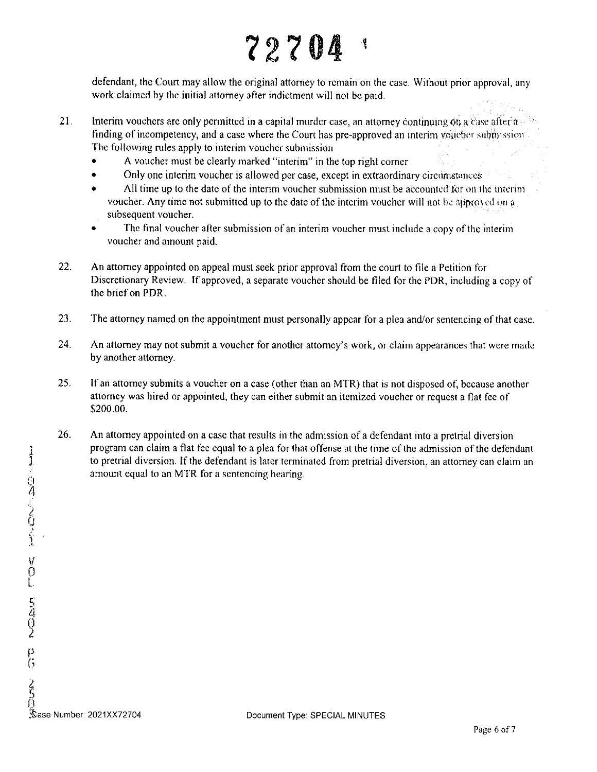# <sup>1</sup> *12?* 04

defendant, the Court may allow the original attorney to remain on the case. Without prior approval, any work claimed hy the initial attorney after indictment will not be paid.

- 21. Interim vouchers are only permitted in a capital murder case, an attorney continuing on a Case after a. finding of incompetency, and a case where the Court has pre-approved an interim voticher submission The following rules apply to interim voucher submission
	- A voucher must be clearly marked "interim" in the top right corner
	- Only one interim voucher is allowed per case, except in extraordinary circularizances
	- All time up to the date of the interim voucher submission must be accounted for on the interim voucher. Any time not submitted up to the date of the interim voucher will not be approved on  $a<sub>1</sub>$ . subsequent voucher.
	- The final voucher after submission of an interim voucher must include a copy of the interim voucher and amount paid.
- 22. An attorney appointed on appeal must seek prior approval from the court to file a Petition for Discretionary Review. If approved, a separate voucher should be tiled for the PDR, including a copy of the brief on PDR.
- 23. The attorney named on the appointment must personally appear for a pica and/or sentencing of that case.
- 24. An attorney may not submit a voucher for another attorney's work, or claim appearances that were made by another attorney.
- 25. If an attorney submits a voucher on a case (other than an MTR) that is not disposed of, because another attorney was hired or appointed, they can either submit an itemized voucher or request a flat fee of \$200.00.
- 26. An attorney appointed on a case that results in the admission of a defendant into a pretrial diversion program can claim a flat fee equal to a plea for that offense at the time of the admission of the defendant 1 to pretrial diversion. If the defendant is later terminated from pretrial diversion, an attorney can claim an amount equal to an MTR for a sentencing hearing.